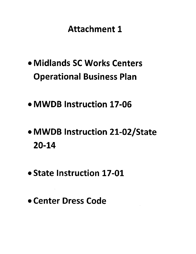## **Attachment 1**

- · Midlands SC Works Centers **Operational Business Plan**
- MWDB Instruction 17-06
- MWDB Instruction 21-02/State  $20 - 14$
- State Instruction 17-01
- Center Dress Code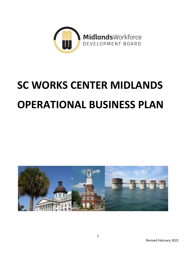

# **SC WORKS CENTER MIDLANDS OPERATIONAL BUSINESS PLAN**

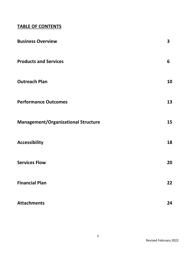### **TABLE OF CONTENTS**

| <b>Business Overview</b>                   | $\mathbf{3}$ |
|--------------------------------------------|--------------|
| <b>Products and Services</b>               | 6            |
| <b>Outreach Plan</b>                       | 10           |
| <b>Performance Outcomes</b>                | 13           |
| <b>Management/Organizational Structure</b> | 15           |
| <b>Accessibility</b>                       | 18           |
| <b>Services Flow</b>                       | 20           |
| <b>Financial Plan</b>                      | 22           |
| <b>Attachments</b>                         | 24           |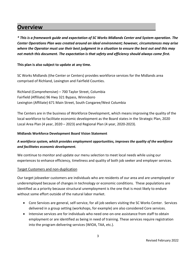### **Overview**

*\* This is a framework guide and expectation of SC Works Midlands Center and System operation. The Center Operations Plan was created around an ideal environment; however, circumstances may arise where the Operator must use their best judgment in a situation to ensure the best out and this may not match this document. The expectation is that safety and efficiency should always come first.*

### **This plan is also subject to update at any time.**

SC Works Midlands (the Center or Centers) provides workforce services for the Midlands area comprised of Richland, Lexington and Fairfield Counties.

Richland (Comprehensive) – 700 Taylor Street, Columbia Fairfield (Affiliate) 96 Hwy 321 Bypass, Winnsboro Lexington (Affiliate) 671 Main Street, South Congaree/West Columbia

The Centers are in the business of Workforce Development, which means improving the quality of the local workforce to facilitate economic development as the Board states in the Strategic Plan, 2020 Local Area Plan (4 year, 2020 – 2023) and Regional Plan (4 year, 2020-2023).

### **Midlands Workforce Development Board Vision Statement**

### *A workforce system, which provides employment opportunities, improves the quality of the workforce and facilitates economic development.*

We continue to monitor and update our menu selection to meet local needs while using our experiences to enhance efficiency, timeliness and quality of both job seeker and employer services.

### Target Customers and non-duplication

Our target jobseeker customers are individuals who are residents of our area and are unemployed or underemployed because of changes in technology or economic conditions. These populations are identified as a priority because structural unemployment is the one that is most likely to endure without some effort outside of the natural labor market.

- Core Services are general, self-service, for all job seekers visiting the SC Works Center. Services delivered in a group setting (workshops, for example) are also considered Core services.
- Intensive services are for individuals who need one-on-one assistance from staff to obtain employment or are identified as being in need of training. These services require registration into the program delivering services (WIOA, TAA, etc.).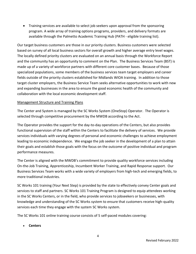Training services are available to select job seekers upon approval from the sponsoring program. A wide array of training options programs, providers, and delivery formats are available through the Palmetto Academic Training Hub (PATH - eligible training list).

Our target business customers are those in our priority clusters. Business customers were selected based on survey of all local business sectors for overall growth and higher average entry level wages. The locally defined priority clusters are evaluated on an annual basis through the Workforce Report and the community has an opportunity to comment on the Plan. The Business Services Team (BST) is made up of a variety of workforce partners with different core customer bases. Because of those specialized populations, some members of the business services team target employers and career fields outside of the priority clusters established for Midlands WIOA training. In addition to those target cluster employers, the Business Service Team seeks alternative opportunities to work with new and expanding businesses in the area to ensure the good economic health of the community and collaboration with the local economic development staff.

### Management Structure and Training Plans

The Center and System is managed by the SC Works System (OneStop) Operator. The Operator is selected through competitive procurement by the MWDB according to the Act.

The Operator provides the support for the day-to-day operations of the Centers, but also provides functional supervision of the staff within the Centers to facilitate the delivery of services. We provide services individuals with varying degrees of personal and economic challenges to achieve employment leading to economic independence. We engage the job seeker in the development of a plan to attain their goals and establish those goals with the focus on the outcome of positive individual and program performance measures.

The Center is aligned with the MWDB's commitment to provide quality workforce services including On-the-Job Training, Apprenticeship, Incumbent Worker Training, and Rapid Response support. Our Business Services Team works with a wide variety of employers from high-tech and emerging fields, to more traditional industries.

SC Works 101 training (Your Next Step) is provided by the state to effectively convey Center goals and services to staff and partners. SC Works 101 Training Program is designed to equip attendees working in the SC Works Centers, or in the field, who provide services to jobseekers or businesses, with knowledge and understanding of the SC Works system to ensure that customers receive high-quality services each time they engage with the system SC Works system.

The SC Works 101 online training course consists of 5 self-paced modules covering:

**Centers**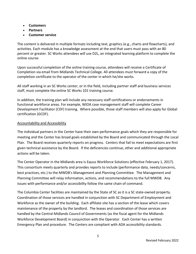- **Customers**
- **Partners**
- **Customer service**

The content is delivered in multiple formats including text, graphics (e.g., charts and flowcharts), and activities. Each module has a knowledge assessment at the end that users must pass with an 80 percent or greater. SC Works attendees will use D2L, an integrated learning platform to complete the online course.

Upon successful completion of the online training course, attendees will receive a Certificate of Completion via email from Midlands Technical College. All attendees must forward a copy of the completion certificate to the operator of the center in which he/she works.

All staff working in an SC Works center, or in the field, including partner staff and business services staff, must complete the online SC Works 101 training course.

In addition, the training plan will include any necessary staff certifications or endorsements in functional workforce areas. For example, WIOA case management staff will complete Career Development Facilitator (CDF) training. Where possible, those staff members will also apply for Global certification (GCDF).

### Accountability and Accessibility

The individual partners in the Center have their own performance goals which they are responsible for meeting and the Center has broad goals established by the Board and communicated through the Local Plan. The Board receives quarterly reports on progress. Centers that fail to meet expectations are first given technical assistance by the Board. If the deficiencies continue, other and additional appropriate actions will be taken.

The Center Operator in the Midlands area is Equus Workforce Solutions (effective February 1, 2017). This consortium meets quarterly and provides reports to include (performance data, needs/concerns, best practices, etc.) to the MWDB's Management and Planning Committee. The Management and Planning Committee will relay information, actions, and recommendations to the full MWDB. Any issues with performance and/or accessibility follow the same chain of command.

The Columbia Center facilities are maintained by the State of SC as it is a SC state-owned property. Coordination of those services are handled in conjunction with SC Department of Employment and Workforce as the owner of the building. Each affiliate site has a section of the lease which covers maintenance of the property by the landlord. The leases and coordination of those services are handled by the Central Midlands Council of Governments (as the fiscal agent for the Midlands Workforce Development Board) in conjunction with the Operator. Each Center has a written Emergency Plan and procedure. The Centers are compliant with ADA accessibility standards.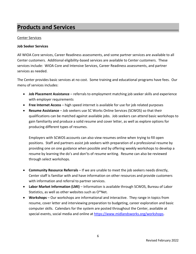### **Products and Services**

### Center Services

### **Job Seeker Services**

All WIOA Core services, Career Readiness assessments, and some partner services are available to all Center customers. Additional eligibility-based services are available to Center customers. These services include: WIOA Core and Intensive Services, Career Readiness assessments, and partner services as needed.

The Center provides basic services at no cost. Some training and educational programs have fees. Our menu of services includes:

- **Job Placement Assistance** referrals to employment matching job seeker skills and experience with employer requirements
- **Free Internet Access** high speed internet is available for use for job related purposes
- **Resume Assistance**  Job seekers use SC Works Online Services (SCWOS) so that their qualifications can be matched against available jobs. Job seekers can attend basic workshops to gain familiarity and produce a solid resume and cover letter, as well as explore options for producing different types of resumes.

Employers with SCWOS accounts can also view resumes online when trying to fill open positions. Staff and partners assist job seekers with preparation of a professional resume by providing one on one guidance when possible and by offering weekly workshops to develop a resume by learning the do's and don'ts of resume writing. Resume can also be reviewed through select workshops.

- **Community Resource Referrals** If we are unable to meet the job seekers needs directly, Center staff is familiar with and have information on other resources and provide customers with information and referral to partner services.
- **Labor Market Information (LMI)** Information is available through SCWOS, Bureau of Labor Statistics, as well as other websites such as O\*Net.
- **Workshops** Our workshops are informational and interactive. They range in topics from resume, cover letter and interviewing preparation to budgeting, career exploration and basic computer skills. Calendars for the system are posted throughout the Center, available at special events, social media and online at [https://www.midlandsworks.org/workshops.](https://www.midlandsworks.org/workshops)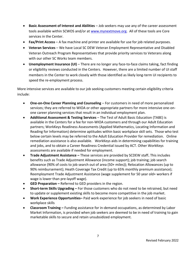- **Basic Assessment of Interest and Abilities** Job seekers may use any of the career assessment tools available within SCWOS and/or at [www.mynextmove.org.](http://www.mynextmove.org/) All of these tools are Core services in the Center.
- **Fax/Print Access**  A fax machine and printer are available for use for job related purposes.
- **Veteran Services** We have Local SC DEW Veteran Employment Representative and Disabled Veteran Outreach Program Representatives that provide priority services to Veterans along with our other SC Works team members.
- **Unemployment Insurance (UI)** There are no longer any face-to-face claims taking, fact finding or eligibility reviews conducted in the Centers. However, there are a limited number of UI staff members in the Center to work closely with those identified as likely long-term UI recipients to speed the re-employment process.

More intensive services are available to our job seeking customers meeting certain eligibility criteria include:

- **One-on-One Career Planning and Counseling** For customers in need of more personalized services; they are referred to WIOA or other appropriate partners for more intensive one-onone career planning services that result in an individual employment plan.
- **Additional Assessment & Testing Services** The Test of Adult Basic Education (TABE) is available in the Centers for a fee for non-WIOA customers and through our Adult Education partners; WorkKeys Readiness Assessments (Applied Mathematics, Locating Information and Reading for Information) determine aptitudes within basic workplace skill sets. Those who test below certain levels may be referred to the Adult Education Provider for remediation. Online remediation assistance is also available. WorkKeys aids in determining capabilities for training and jobs, and to obtain a Career Readiness Credential issued by ACT. Other WorkKeys assessments are available if needed for employment.
- **Trade Adjustment Assistance –** These services are provided by SCDEW staff**.** This includes benefits such as Trade Adjustment Allowance (income support); job training; job search allowance (90% of costs to job search out of area (50+ miles)); Relocation Allowances (up to 90% reimbursement); Heath Coverage Tax Credit (up to 65% monthly premium assistance); Reemployment Trade Adjustment Assistance (wage supplement for 50 year old+ workers if wage is lower than pre-layoff wage).
- **GED Preparation –** Referred to GED providers in the region.
- **Short-term Skills Upgrading –** For those customers who do not need to be retrained, but need to update or supplement existing skills to become more competitive in the job market.
- **Work Experience Opportunities–** Paid work experience for job seekers in need of basic workplace skills
- **Classroom Training –** Funding assistance for in-demand occupations, as determined by Labor Market Information, is provided when job seekers are deemed to be in need of training to gain marketable skills to secure and retain unsubsidized employment.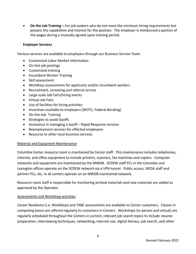**On the Job Training –** For job seekers who do not meet the minimum hiring requirements but possess the capabilities and interest for the position. The employer is reimbursed a portion of the wages during a mutually agreed upon training period.

### **Employer Services**

Various services are available to employers through our Business Service Team:

- Customized Labor Market Information
- On-line job postings
- Customized training
- Incumbent Worker Training
- Skill assessment
- WorkKeys assessments for applicants and/or incumbent workers
- Recruitment, screening and referral service
- Large scale Job Fairs/hiring events
- Virtual Job Fairs
- Use of facilities for hiring activities
- Incentives available to employers (WOTC, Federal Bonding)
- On-the-Job Training
- Strategies to avoid layoffs
- Assistance in managing a layoff Rapid Response services
- Reemployment services for effected employees
- Resource to other local business services

### Material and Equipment Maintenance

Columbia Center resource room is maintained by Center staff. This maintenance includes telephones, internet, and office equipment to include printers, scanners, fax machines and copiers. Computer networks and equipment are maintained by the MWDB. SCDEW staff PCs in the Columbia and Lexington offices operate on the SCDEW network via a VPN tunnel. Public access, WIOA staff and partner PCs, etc. in all centers operate on an MWDB maintained network.

Resource room staff is responsible for monitoring printed materials and new materials are added as approved by the Operator.

### Assessments and Workshop activities

Career Readiness (i.e. WorkKeys) and TABE assessments are available to Center customers. Classes in computing basics are offered regularly to customers in Centers. Workshops (in-person and virtual) are regularly scheduled throughout the Centers in current, relevant job search topics to include resume preparation, interviewing techniques, networking, internet use, digital literacy, job search, and other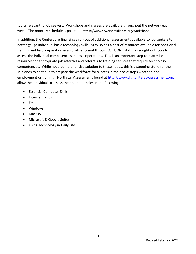topics relevant to job seekers. Workshops and classes are available throughout the network each week. The monthly schedule is posted at https://www.scworksmidlands.org/workshops

In addition, the Centers are finalizing a roll-out of additional assessments available to job seekers to better gauge individual basic technology skills. SCWOS has a host of resources available for additional training and test preparation in an on-line format through ALLISON. Staff has sought out tools to assess the individual competencies in basic operations. This is an important step to maximize resources for appropriate job referrals and referrals to training services that require technology competencies. While not a comprehensive solution to these needs, this is a stepping stone for the Midlands to continue to prepare the workforce for success in their next steps whether it be employment or training. Northstar Assessments found at<http://www.digitalliteracyassessment.org/> allow the individual to assess their competencies in the following:

- Essential Computer Skills
- Internet Basics
- $\bullet$  Fmail
- Windows
- Mac OS
- Microsoft & Google Suites
- Using Technology in Daily Life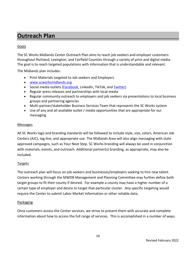### **Outreach Plan**

### Goals

The SC Works Midlands Center Outreach Plan aims to reach job seekers and employer customers throughout Richland, Lexington, and Fairfield Counties through a variety of print and digital media. The goal is to reach targeted populations with information that is understandable and relevant.

The Midlands plan includes:

- Print Materials targeted to Job seekers and Employers
- [www.scworksmidlands.org](http://www.scworksmidlands.org/)
- Social media outlets [\(Facebook,](http://www.facebook.com/SCWorksMidlands) LinkedIn, TikTok, and [Twitter\)](http://www.twitter.com/SCWorksMidlands)
- Regular press releases and partnerships with local media
- Regular community outreach to employers and job seekers via presentations to local business groups and partnering agencies
- Multi-partner/stakeholder Business Services Team that represents the SC Works system
- Use of any and all available outlet / media opportunities that are appropriate for our messaging

### Messages

All SC Works logo and branding standards will be followed to include style, size, colors, American Job Centers (AJC), tag line, and appropriate use. The Midlands Area will also align messaging with state approved campaigns, such as Your Next Step. SC Works branding will always be used in conjunction with materials, events, and outreach. Additional partner(s) branding, as appropriate, may also be included.

### Targets

The outreach plan will focus on job seekers and businesses/employers seeking to hire new talent. Centers working through the MWDB Management and Planning Committee may further define both target groups to fit their county if desired. For example a county may have a higher number of a certain type of employer and desire to target that particular cluster. Any specific targeting would require the Center to submit Labor Market Information or other reliable data.

### Packaging

Once customers access the Center services, we strive to present them with accurate and complete information about how to access the full range of services. This is accomplished in a number of ways: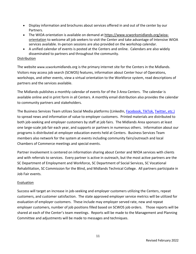- Display information and brochures about services offered in and out of the center by our Partners.
- The WIOA orientation is available on demand at https://www.scworksmidlands.org/wioaorientation to welcome all job seekers to visit the Center and take advantage of Intensive WIOA services available. In-person sessions are also provided on the workshop calendar.
- A unified calendar of events is posted at the Centers and online. Calendars are also widely disseminated to partners and throughout the community.

### Distribution

The website www.scworksmidlands.org is the primary internet site for the Centers in the Midlands. Visitors may access job search (SCWOS) features, information about Center hour of Operations, workshops, and other events, view a virtual orientation to the Workforce system, read descriptions of partners and the services available.

The Midlands publishes a monthly calendar of events for of the 3 Area Centers. The calendar is available online and in print form in all Centers. A monthly email distribution also provides the calendar to community partners and stakeholders.

The Business Services Team utilizes Social Media platforms (LinkedIn, [Facebook,](http://www.facebook.com/SCWorksMidlands) TikTok, [Twitter,](http://www.twitter.com/SCWorksMidlands) etc.) to spread news and information of value to employer customers. Printed materials are distributed to both job-seeking and employer customers by staff at job fairs. The Midlands Area sponsors at least one large-scale job fair each year, and supports or partners in numerous others. Information about our programs is distributed at employer education events held at Centers. Business Services Team members also network for the system at events including community fairs/outreach and local Chambers of Commerce meetings and special events.

Partner involvement is centered on information sharing about Center and WIOA services with clients and with referrals to services. Every partner is active in outreach, but the most active partners are the SC Department of Employment and Workforce, SC Department of Social Services, SC Vocational Rehabilitation, SC Commission for the Blind, and Midlands Technical College. All partners participate in Job Fair events.

### Evaluation

Success will target an increase in job-seeking and employer customers utilizing the Centers, repeat customers, and customer satisfaction. The state approved employer service metrics will be utilized for evaluation of employer customers. These include may employer served rate, new and repeat employer customers, number of job positions filled based on SCWOS job orders. Those reports will be shared at each of the Center's team meetings. Reports will be made to the Management and Planning Committee and adjustments will be made to messages and techniques.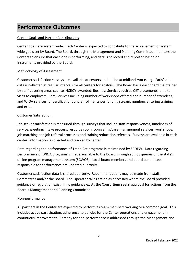### **Performance Outcomes**

### Center Goals and Partner Contributions

Center goals are system wide. Each Center is expected to contribute to the achievement of system wide goals set by Board. The Board, through the Management and Planning Committee, monitors the Centers to ensure that each one is performing, and data is collected and reported based on instruments provided by the Board.

### Methodology of Assessment

Customer satisfaction surveys are available at centers and online at midlandsworks.org. Satisfaction data is collected at regular intervals for all centers for analysis. The Board has a dashboard maintained by staff covering areas such as NCRC's awarded; Business Services such as OJT placements, on-site visits to employers; Core Services including number of workshops offered and number of attendees; and WIOA services for certifications and enrollments per funding stream, numbers entering training and exits.

### Customer Satisfaction

Job seeker satisfaction is measured through surveys that include staff responsiveness, timeliness of service, greeting/intake process, resource room, counseling/case management services, workshops, job matching and job referral processes and training/education referrals. Surveys are available in each center; information is collected and tracked by center.

Data regarding the performance of Trade Act programs is maintained by SCDEW. Data regarding performance of WIOA programs is made available to the Board through ad hoc queries of the state's online program management system (SCWOS). Local board members and board committees responsible for performance are updated quarterly.

Customer satisfaction data is shared quarterly. Recommendations may be made from staff, Committees and/or the Board. The Operator takes action as necessary where the Board provided guidance or regulation exist. If no guidance exists the Consortium seeks approval for actions from the Board's Management and Planning Committee.

### Non-performance

All partners in the Center are expected to perform as team members working to a common goal. This includes active participation, adherence to policies for the Center operations and engagement in continuous improvement. Remedy for non-performance is addressed through the Management and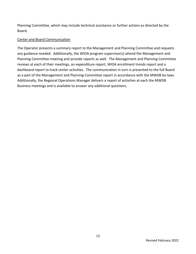Planning Committee, which may include technical assistance or further actions as directed by the Board.

### Center and Board Communication

The Operator presents a summary report to the Management and Planning Committee and requests any guidance needed. Additionally, the WIOA program supervisor(s) attend the Management and Planning Committee meeting and provide reports as well. The Management and Planning Committee reviews at each of their meetings, an expenditure report, WIOA enrollment trends report and a dashboard report to track center activities. The communication in turn is presented to the full Board as a part of the Management and Planning Committee report in accordance with the MWDB by-laws. Additionally, the Regional Operations Manager delivers a report of activities at each the MWDB Business meetings and is available to answer any additional questions.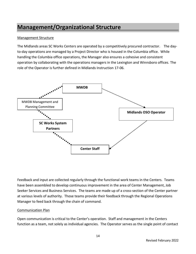### **Management/Organizational Structure**

### Management Structure

The Midlands areas SC Works Centers are operated by a competitively procured contractor. The dayto-day operations are managed by a Project Director who is housed in the Columbia office. While handling the Columbia office operations, the Manager also ensures a cohesive and consistent operation by collaborating with the operations managers in the Lexington and Winnsboro offices. The role of the Operator is further defined in Midlands Instruction 17-06.



Feedback and input are collected regularly through the functional work teams in the Centers. Teams have been assembled to develop continuous improvement in the area of Center Management, Job Seeker Services and Business Services. The teams are made up of a cross-section of the Center partner at various levels of authority. Those teams provide their feedback through the Regional Operations Manager to feed back through the chain of command.

### Communication Plan

Open communication is critical to the Center's operation. Staff and management in the Centers function as a team, not solely as individual agencies. The Operator serves as the single point of contact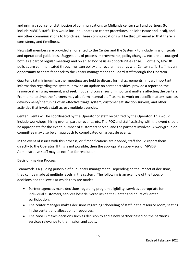and primary source for distribution of communications to Midlands center staff and partners (to include MWDB staff). This would include updates to center procedures, policies (state and local), and any other communications to frontlines. These communications will be through email so that there is consistency and timeliness.

New staff members are provided an oriented to the Center and the System - to include mission, goals and operational guidelines. Suggestions of process improvements, policy changes, etc. are encouraged both as a part of regular meetings and on an ad hoc basis as opportunities arise. Formally, MWDB policies are communicated through written policy and regular meetings with Center staff. Staff has an opportunity to share feedback to the Center management and Board staff through the Operator.

Quarterly (at minimum) partner meetings are held to discuss formal agreements, impart important information regarding the system, provide an update on center activities, provide a report on the resource sharing agreement, and seek input and consensus on important matters affecting the centers. From time to time, the Partners may also form internal staff teams to work on specific matters, such as development/fine tuning of an effective triage system, customer satisfaction surveys, and other activities that involve staff across multiple agencies.

Center Events will be coordinated by the Operator or staff recognized by the Operator. This would include workshops, hiring events, partner events, etc. The POC and staff assisting with the event should be appropriate for the event, number of customers served, and the partners involved. A workgroup or committee may also be an approach to complicated or largescale events.

In the event of issues with this process, or if modifications are needed, staff should report them directly to the Operator. If this is not possible, then the appropriate supervisor or MWDB Administrative staff may be notified for resolution.

### Decision-making Process

Teamwork is a guiding principle of our Center management. Depending on the impact of decisions, they can be made at multiple levels in the system. The following is an example of the types of decisions and the levels at which they are made:

- Partner agencies make decisions regarding program eligibility, services appropriate for individual customers, services best delivered inside the Center and hours of Center participation.
- The center manager makes decisions regarding scheduling of staff in the resource room, seating in the center, and allocation of resources.
- The MWDB makes decisions such as decision to add a new partner based on the partner's services relevance to the mission and goals.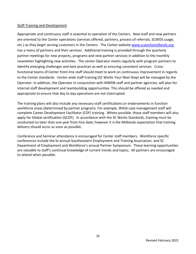### Staff Training and Development

Appropriate and continuous staff is essential to operation of the Centers. New staff and new partners are oriented to the Center operations (services offered, partners, process of referrals, SCWOS usage, etc.) as they begin serving customers in the Centers. The Center website [www.scworksmidlands.org](http://www.scworksmidlands.org/) has a menu of partners and their services. Additional training is provided through the quarterly partner meetings for new projects, programs and new partner services in addition to the monthly newsletter highlighting new activities. The center Operator meets regularly with program partners to identify emerging challenges and best practices as well as ensuring consistent services. Crossfunctional teams of Center front-line staff should meet to work on continuous improvement in regards to the Center standards. Center wide staff training (SC Works Your Next Step) will be managed by the Operator. In addition, the Operator in conjunction with MWDB staff and partner agencies, will plan for internal staff development and teambuilding opportunities. This should be offered as needed and appropriate to ensure that day to day operations are not interrupted.

The training plans will also include any necessary staff certifications or endorsements in function workforce areas (determined by partner program). For example, WIOA case management staff will complete Career Development Facilitator (CDF) training. Where possible, those staff members will also apply for Global certification (GCDF). In accordance with the SC Works Standards, training must be conducted no later than one year from hire date; however it is the Midlands expectation that training delivery should occur as soon as possible.

Conference and Seminar attendance is encouraged for Center staff members. Workforce specific conferences include the bi-annual Southeastern Employment and Training Association, and SC Department of Employment and Workforce's annual Partner Symposium. These learning opportunities are valuable to staff's continual knowledge of current trends and topics. All partners are encouraged to attend when possible.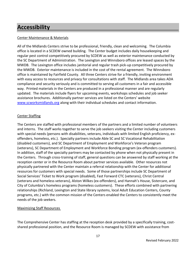### **Accessibility**

### Center Maintenance & Materials

All of the Midlands Centers strive to be professional, friendly, clean and welcoming. The Columbia office is located in a SCDEW owned building. The Center budget includes daily housekeeping and regular pest control competitively procured by SCDEW as well as exterior maintenance conducted by the SC Department of Administration. The Lexington and Winnsboro offices are leased spaces by the MWDB. The Lexington office includes janitorial and regular trash pick-up competitively procured by the MWDB. Exterior maintenance is included in the cost of the rental agreement. The Winnsboro office is maintained by Fairfield County. All three Centers strive for a friendly, inviting environment with easy access to resources and privacy for consultations with staff. The Midlands area takes ADA compliance and security seriously and is committed to serving all customers in a fair and accessible way. Printed materials in the Centers are produced in a professional manner and are regularly updated. The materials include flyers for upcoming events, workshops schedules and job seeker assistance brochures. Additionally partner services are listed on the Centers' website [www.scworksmidlands.org](http://www.scworksmidlands.org/) along with their individual schedules and contact information.

### Center Staffing

The Centers are staffed with professional members of the partners and a limited number of volunteers and interns. The staff works together to serve the job seekers visiting the Center including customers with special needs (persons with disabilities, veterans, individuals with limited English proficiency, exoffenders, homeless, etc.). Specialty partners include Able SC and SC Vocational Rehabilitation (disabled customers), and SC Department of Employment and Workforce's Veteran program (veterans), SC Department of Employment and Workforce Bonding program (ex-offenders customers). In addition, staff of the specialty partners may be contacted by phone when not physically present in the Centers. Through cross-training of staff, general questions can be answered by staff working at the reception center or in the Resource Room about partner services available. Other resources not physically partnered with the Center maintain a referral relationship with the Center for additional resources for customers with special needs. Some of those partnerships include SC Department of Social Services' Ticket to Work program (disabled), Fast Forward CTC (veterans), Christ Central (veterans and homeless veterans), Alston Wilkes (ex-offenders), and Hannah's House, Sistercare, and City of Columbia's homeless programs (homeless customers). These efforts combined with partnering relationships (Richland, Lexington and State library systems, local Adult Education Centers, County programs, etc.) with the common mission of the Centers enabled the Centers to consistently meet the needs of the job seekers.

### Maximizing Staff Resources

The Comprehensive Center has staffing at the reception desk provided by a specifically training, costshared professional position, and the Resource Room is managed by SCDEW with assistance from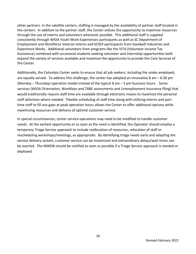other partners. In the satellite centers, staffing is managed by the availability of partner staff located in the centers. In addition to the partner staff, the Center utilizes the opportunity to maximize resources through the use of interns and volunteers whenever possible. This additional staff is supplied consistently through WIOA Youth Work Experiences participants as well as SC Department of Employment and Workforce Veteran interns and SCSEP participants from Goodwill Industries and Experience Works. Additional volunteers from programs like the VITA (Volunteer Income Tax Assistance) combined with occasional students seeking volunteer and internship opportunities both expand the variety of services available and maximize the opportunity to provide the Core Services of the Center.

Additionally, the Columbia Center seeks to ensure that all job seekers, including the under employed, are equally served. To address this challenge, the center has adopted an innovative 8 am – 6:30 pm (Monday – Thursday) operation model instead of the typical 8 am – 5 pm business hours. Some services (WIOA Orientation, WorkKeys and TABE assessments and Unemployment Insurance filing) that would traditionally require staff time are available through electronic means to maximize the personal staff attention where needed. Flexible scheduling of staff time along with utilizing interns and parttime staff to fill any gaps at peak operation hours allows the Center to offer additional options while maximizing resources and delivery of optimal customer service.

In special circumstances, center service operations may need to be modified to handle customer needs. At the earliest opportunity or as soon as the need is identified, the Operator should employ a temporary Triage Service approach to include reallocation of resources, relocation of staff or rescheduling workshops/meetings, as appropriate. By identifying triage needs early and adapting the service delivery system, customer service can be maximized and extraordinary delays/wait times can be averted. The MWDB should be notified as soon as possible if a Triage Service approach is needed or deployed.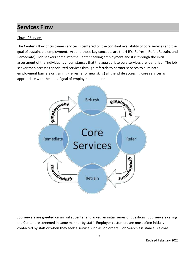### **Services Flow**

### Flow of Services

The Center's flow of customer services is centered on the constant availability of core services and the goal of sustainable employment. Around those key concepts are the 4 R's (Refresh, Refer, Retrain, and Remediate). Job seekers come into the Center seeking employment and it is through the initial assessment of the individual's circumstances that the appropriate core services are identified. The job seeker then accesses specialized services through referrals to partner services to eliminate employment barriers or training (refresher or new skills) all the while accessing core services as appropriate with the end of goal of employment in mind.



Job seekers are greeted on arrival at center and asked an initial series of questions. Job seekers calling the Center are screened in same manner by staff. Employer customers are most often initially contacted by staff or when they seek a service such as job orders. Job Search assistance is a core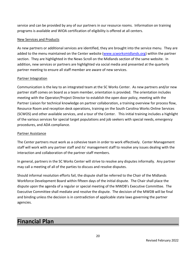service and can be provided by any of our partners in our resource rooms. Information on training programs is available and WIOA certification of eligibility is offered at all centers.

### New Services and Products

As new partners or additional services are identified, they are brought into the service menu. They are added to the menu maintained on the Center website [\(www.scworksmidlands.org\)](http://www.scworksmidlands.org/) within the partner section. They are highlighted in the News Scroll on the Midlands section of the same website. In addition, new services or partners are highlighted via social media and presented at the quarterly partner meeting to ensure all staff member are aware of new services.

### Partner Integration

Communication is the key to an integrated team at the SC Works Center. As new partners and/or new partner staff comes on board as a team member, orientation is provided. The orientation includes meeting with the Operator/Project Director to establish the open door policy, meeting with the Partner Liaison for technical knowledge on partner collaboration, a training overview for process flow, Resource Room and reception desk operations, training on the South Carolina Works Online Services (SCWOS) and other available services, and a tour of the Center. This initial training includes a highlight of the various services for special target populations and job seekers with special needs, emergency procedures, and ADA compliance.

### Partner Assistance

The Center partners must work as a cohesive team in order to work effectively. Center Management staff will work with any partner staff and its' management staff to resolve any issues dealing with the interaction and collaboration of the partner staff members.

In general, partners in the SC Works Center will strive to resolve any disputes informally. Any partner may call a meeting of all of the parties to discuss and resolve disputes.

Should informal resolution efforts fail, the dispute shall be referred to the Chair of the Midlands Workforce Development Board within fifteen days of the initial dispute. The Chair shall place the dispute upon the agenda of a regular or special meeting of the MWDB's Executive Committee. The Executive Committee shall mediate and resolve the dispute. The decision of the MWDB will be final and binding unless the decision is in contradiction of applicable state laws governing the partner agencies.

### **Financial Plan**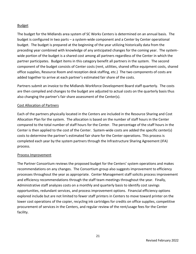### Budget

The budget for the Midlands area system of SC Works Centers is determined on an annual basis. The budget is configured in two parts – a system-wide component and a Center by Center operational budget. The budget is prepared at the beginning of the year utilizing historically data from the preceding year combined with knowledge of any anticipated changes for the coming year. The systemwide portion of the budget is a shared cost among all partners regardless of the Center in which the partner participates. Budget items in this category benefit all partners in the system. The second component of the budget consists of Center costs (rent, utilities, shared office equipment costs, shared office supplies, Resource Room and reception desk staffing, etc.) The two components of costs are added together to arrive at each partner's estimated fair share of the costs.

Partners submit an invoice to the Midlands Workforce Development Board staff quarterly. The costs are then compiled and changes to the budget are adjusted to actual costs on the quarterly basis thus also changing the partner's fair share assessment of the Center(s).

### Cost Allocation of Partners

Each of the partners physically located in the Centers are included in the Resource Sharing and Cost Allocation Plan for the system. The allocation is based on the number of staff hours in the Center compared to the total number of staff hours for the Center. The percentage of the staff hours in the Center is then applied to the cost of the Center. System-wide costs are added the specific center(s) costs to determine the partner's estimated fair share for the Center operations. This process is completed each year by the system partners through the Infrastructure Sharing Agreement (IFA) process.

### Process Improvement

The Partner Consortium reviews the proposed budget for the Centers' system operations and makes recommendations on any changes. The Consortium group also suggests improvement to efficiency processes throughout the year as appropriate. Center Management staff solicits process improvement and efficiency recommendations through the staff team meetings throughout the year. Finally, Administrative staff analyzes costs on a monthly and quarterly basis to identify cost savings opportunities, redundant services, and process improvement options. Financial efficiency options explored include but are not limited to fewer staff printers in Centers to move toward printer on the lower cost operations of the copier, recycling ink cartridges for credits on office supplies, competitive procurement of services in the Centers, and regular review of the rent/usage fees for the Center facility.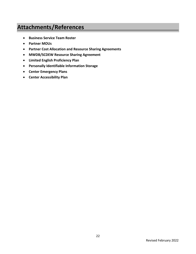### **Attachments/References**

- **•** Business Service Team Roster
- **Partner MOUs**
- **Partner Cost Allocation and Resource Sharing Agreements**
- **MWDB/SCDEW Resource Sharing Agreement**
- **Limited English Proficiency Plan**
- **Personally Identifiable Information Storage**
- **Center Emergency Plans**
- **Center Accessibility Plan**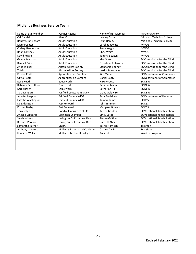### **Midlands Business Service Team**

| Name of BST Member        | Partner Agency                | Name of BST Member     | <b>Partner Agency</b>               |
|---------------------------|-------------------------------|------------------------|-------------------------------------|
| Cali Sandel               | Able SC                       | Jeremy Catoe           | Midlands Technical College          |
| <b>Bobby Cunningham</b>   | <b>Adult Education</b>        | Ryan Hemby             | <b>Midlands Technical College</b>   |
| Marva Coates              | <b>Adult Education</b>        | Caroline Jewett        | <b>MWDB</b>                         |
| Christy Henderson         | <b>Adult Education</b>        | Steve Knight           | <b>MWDB</b>                         |
| <b>Brian Barrineu</b>     | <b>Adult Education</b>        | Chris White            | <b>MWDB</b>                         |
| David Prigge              | <b>Adult Education</b>        | Tammy Beagen           | <b>MWDB</b>                         |
| Geena Beerman             | <b>Adult Education</b>        | Kisa Grate             | SC Commission for the Blind         |
| <b>Randall Price</b>      | <b>Adult Education</b>        | Forestene Robinson     | SC Commission for the Blind         |
| Anne Walker               | <b>Alston Wilkes Society</b>  | Stephanie Bonnett      | SC Commission for the Blind         |
| T Reid                    | Alston Wilkes Society         | Jessica Matthews       | SC Commission for the Blind         |
| <b>Kirsten Pratt</b>      | Apprenticeship Carolina       | Kim Mann               | SC Department of Commerce           |
| Olivia Heath              | Apprenticeship Carolina       | Daniel Beaty           | SC Department of Commerce           |
| Rose Heath                | Equusworks                    | Mike Wuest             | <b>SC DEW</b>                       |
| <b>Rebecca Carruthers</b> | Equusworks                    | Ramonn Lester          | <b>SC DEW</b>                       |
| Kari Rischer              | Equusworks                    | <b>Catherine Hill</b>  | <b>SC DEW</b>                       |
| Ty Davenport              | Fairfield Co Economic Dev     | Diana Goldwire         | <b>SC DEW</b>                       |
| Jennifer Leaphart         | Fairfield County WIOA         | Tara Bradshaw          | SC Department of Revenue            |
| Latasha Wadlington        | Fairfield County WIOA         | Tamara James           | SC DSS                              |
| Dee Albritton             | <b>Fast Forward</b>           | John Timmons           | SC DSS                              |
| Kirsten Darby             | <b>Fast Forward</b>           | <b>Margaret Bowens</b> | SC DSS                              |
| <b>Tony Selph</b>         | Goodwill Industries of SC     | Karren Gordon          | <b>SC Vocational Rehabilitation</b> |
| Angelle Laboarde          | Lexington Chamber             | <b>Emily Catoe</b>     | SC Vocational Rehabilitation        |
| Sarah Johnson             | Lexington Co Economic Dev     | <b>Steven Gaither</b>  | SC Vocational Rehabilitation        |
| <b>Brittney Percori</b>   | Lexington Co Economic Dev     | <b>Harriett Abner</b>  | SC Vocational Rehabilitation        |
| Samantha Turner           | <b>MEBA</b>                   | Tashia Harrison        | Telamon                             |
| Anthony Langford          | Midlands Fatherhood Coalition | Catrina Davis          | Transitions                         |
| Kimberly Williams         | Midlands Technical College    | Amy Jolly              | Work in Progress                    |
|                           |                               |                        |                                     |
|                           |                               |                        |                                     |
|                           |                               |                        |                                     |
|                           |                               |                        |                                     |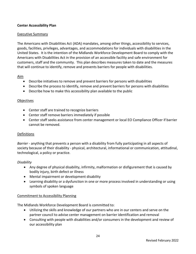### **Center Accessibility Plan**

### Executive Summary

The Americans with Disabilities Act (ADA) mandates, among other things, accessibility to services, goods, facilities, privileges, advantages, and accommodations for individuals with disabilities in the United States. It is the intention of the Midlands Workforce Development Board to comply with the Americans with Disabilities Act in the provision of an accessible facility and safe environment for customers, staff and the community. This plan describes measures taken to date and the measures that will continue to identify, remove and prevents barriers for people with disabilities.

### Aim

- Describe initiatives to remove and prevent barriers for persons with disabilities
- Describe the process to identify, remove and prevent barriers for persons with disabilities
- Describe how to make this accessibility plan available to the public

### **Objectives**

- Center staff are trained to recognize barriers
- Center staff remove barriers immediately if possible
- Center staff seeks assistance from center management or local EO Compliance Officer if barrier cannot be removed.

### Definitions

*Barrier* - anything that prevents a person with a disability from fully participating in all aspects of society because of their disability - physical, architectural, informational or communication, attitudinal, technological, a policy or practice.

### *Disability*

- Any degree of physical disability, infirmity, malformation or disfigurement that is caused by bodily injury, birth defect or illness
- Mental impairment or development disability
- Learning disability or a dysfunction in one or more process involved in understanding or using symbols of spoken language

### Commitment to Accessibility Planning

The Midlands Workforce Development Board is committed to:

- Utilizing the skills and knowledge of our partners who are in our centers and serve on the partner council to advise center management on barrier identification and removal
- Consulting with people with disabilities and/or consumers in the development and review of our accessibility plan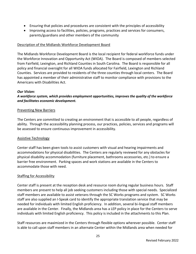- Ensuring that policies and procedures are consistent with the principles of accessibility
- Improving access to facilities, policies, programs, practices and services for consumers, parents/guardians and other members of the community

### Description of the Midlands Workforce Development Board

The Midlands Workforce Development Board is the local recipient for federal workforce funds under the Workforce Innovation and Opportunity Act (WIOA). The Board is composed of members selected from Fairfield, Lexington, and Richland Counties in South Carolina. The Board is responsible for all policy and financial oversight for all WIOA funds allocated for Fairfield, Lexington and Richland Counties. Services are provided to residents of the three counties through local centers. The Board has appointed a member of their administrative staff to monitor compliance with provisions to the Americans with Disabilities Act.

### *Our Vision:*

### *A workforce system, which provides employment opportunities, improves the quality of the workforce and facilitates economic development.*

### Preventing New Barriers

The Centers are committed to creating an environment that is accessible to all people, regardless of ability. Through the accessibility planning process, our practices, policies, services and programs will be assessed to ensure continuous improvement in accessibility.

### Assistive Technology

Center staff has been given tools to assist customers with visual and hearing impairments and accommodations for physical disabilities. The Centers are regularly reviewed for any obstacles for physical disability accommodation (furniture placement, bathrooms accessories, etc.) to ensure a barrier free environment. Parking spaces and work stations are available in the Centers to accommodate those with need.

### Staffing for Accessibility

Center staff is present at the reception desk and resource room during regular business hours. Staff members are present to help all job seeking customers including those with special needs. Specialized staff members are available to assist veterans through the SC Works programs and system. SC Works staff are also supplied an I-Speak card to identify the appropriate translation service that may be needed for individuals with limited English proficiency. In addition, several bi-lingual staff members are available in the Center. Finally, the Midlands area has a LEP policy in place for the Centers to serve individuals with limited English proficiency. This policy is included in the attachments to this Plan.

Staff resources are maximized in the Centers through flexible options wherever possible. Center staff is able to call upon staff members in an alternate Center within the Midlands area when needed for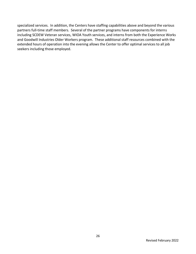specialized services. In addition, the Centers have staffing capabilities above and beyond the various partners full-time staff members. Several of the partner programs have components for interns including SCDEW Veteran services, WIOA Youth services, and interns from both the Experience Works and Goodwill Industries Older Workers program. These additional staff resources combined with the extended hours of operation into the evening allows the Center to offer optimal services to all job seekers including those employed.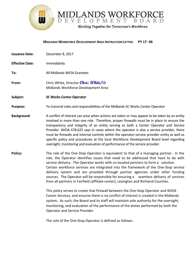

#### **MIDLANDS WORKFORCE DEVELOPMENT AREA INSTRUCTION LETTER: PY 17- 06**

**Issuance Date:** December 8, 2017 **Effective Date:** Immediately **To:** All Midlands WIOA Grantees **From:** Chris White, Director **Chris White**/tb Midlands Workforce Development Area

**Subject: SC Works Center Operator**

**Purpose:** To transmit roles and responsibilities of the Midlands SC Works Center Operator

- **Background:** A conflict of interest can arise when actions are taken or may appear to be taken by an entity involved in more than one role. Therefore, proper firewalls must be in place to ensure the transparency and integrity of an entity serving as both a Center Operator and Service Provider. WIOA 678.625 says in cases where the operator is also a service provider, there must be firewalls and internal controls within the operator-service provider entity as well as specific policy and procedures at the local Workforce Development Board level regarding oversight, monitoring and evaluation of performance of the service provider.
- **Policy:** The role of the One-Stop Operator is equivalent to that of a managing partner. In the role, the Operator identifies issues that need to be addressed that have to do with service delivery. The Operator works with co-located partners to form a solution. Certain workforce services are integrated into the framework of the One-Stop service delivery system and are provided through partner agencies under other funding sources. The Operator will be responsible for ensuring a seamless delivery of services from all partners in Fairfield (affiliate center), Lexington and Richland Counties.

This policy serves to create that firewall between the One-Stop Operator and WIOA Career Services, and ensures there is no conflict of interest is created in the Midlands system. As such, the Board and its staff will maintain sole authority for the oversight, monitoring, and evaluation of the performance of the duties performed by both the Operator and Service Provider.

The role of the One-Stop Operator is defined as follows: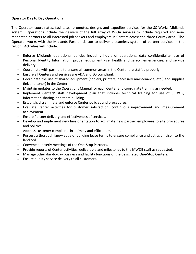### **Operator Day to Day Operations**

The Operator coordinates, facilitates, promotes, designs and expedites services for the SC Works Midlands system. Operations include the delivery of the full array of WIOA services to include required and nonmandated partners to all interested job seekers and employers in Centers across the three County area. The Operator works with the Midlands Partner Liaison to deliver a seamless system of partner services in the region. Activities will include:

- Enforce Midlands operational policies including hours of operations, data confidentiality, use of Personal Identity Information, proper equipment use, health and safety, emergencies, and service delivery.
- Coordinate with partners to ensure all common areas in the Center are staffed properly.
- Ensure all Centers and services are ADA and EO compliant.
- Coordinate the use of shared equipment (copiers, printers, necessary maintenance, etc.) and supplies (ink and toner) in the Center.
- Maintain updates to the Operations Manual for each Center and coordinate training as needed.
- Implement Centers' staff development plan that includes technical training for use of SCWOS, information sharing, and team building.
- Establish, disseminate and enforce Center policies and procedures.
- Evaluate Center activities for customer satisfaction, continuous improvement and measurement achievement.
- Ensure Partner delivery and effectiveness of services.
- Develop and implement new hire orientation to acclimate new partner employees to site procedures and policies.
- Address customer complaints in a timely and efficient manner.
- Possess a thorough knowledge of building lease terms to ensure compliance and act as a liaison to the landlord.
- Convene quarterly meetings of the One-Stop Partners.
- Provide reports of Center activities, deliverable and milestones to the MWDB staff as requested.
- Manage other day-to-day business and facility functions of the designated One-Stop Centers.
- Ensure quality service delivery to all customers.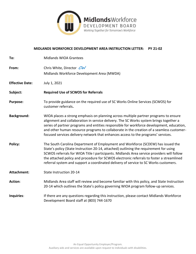

### **MIDLANDS WORKFORCE DEVELOPMENT AREA INSTRUCTION LETTER: PY 21-02**

| To:                    | <b>Midlands WIOA Grantees</b>                                                                                                                                                                                                                                                                                                                                                                                                                                |
|------------------------|--------------------------------------------------------------------------------------------------------------------------------------------------------------------------------------------------------------------------------------------------------------------------------------------------------------------------------------------------------------------------------------------------------------------------------------------------------------|
| From:                  | Chris White, Director CW<br>Midlands Workforce Development Area (MWDA)                                                                                                                                                                                                                                                                                                                                                                                       |
| <b>Effective Date:</b> | July 1, 2021                                                                                                                                                                                                                                                                                                                                                                                                                                                 |
| Subject:               | <b>Required Use of SCWOS for Referrals</b>                                                                                                                                                                                                                                                                                                                                                                                                                   |
| <b>Purpose:</b>        | To provide guidance on the required use of SC Works Online Services (SCWOS) for<br>customer referrals.                                                                                                                                                                                                                                                                                                                                                       |
| <b>Background:</b>     | WIOA places a strong emphasis on planning across multiple partner programs to ensure<br>alignment and collaboration in service delivery. The SC Works system brings together a<br>series of partner programs and entities responsible for workforce development, education,<br>and other human resource programs to collaborate in the creation of a seamless customer-<br>focused services delivery network that enhances access to the programs' services. |
| Policy:                | The South Carolina Department of Employment and Workforce (SCDEW) has issued the<br>State's policy (State Instruction 20-14, attached) outlining the requirement for using<br>SCWOS referrals for WIOA Title I participants. Midlands Area service providers will follow<br>the attached policy and procedure for SCWOS electronic referrals to foster a streamlined<br>referral system and support a coordinated delivery of service to SC Works customers. |
| <b>Attachment:</b>     | State Instruction 20-14                                                                                                                                                                                                                                                                                                                                                                                                                                      |
| <b>Action:</b>         | Midlands Area staff will review and become familiar with this policy, and State Instruction<br>20-14 which outlines the State's policy governing WIOA program follow-up services.                                                                                                                                                                                                                                                                            |
| Inquiries:             | If there are any questions regarding this instruction, please contact Midlands Workforce<br>Development Board staff at (803) 744-1670                                                                                                                                                                                                                                                                                                                        |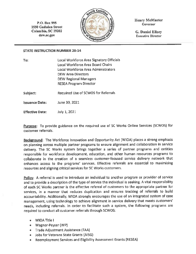P.O. Box 995 **1550 Gadsden Street** Columbia, SC 29202 dew.sc.gov



**Henry McMaster** Governor

**G. Daniel Ellzey Executive Director** 

### **STATE INSTRUCTION NUMBER 20-14**

| To:                   | Local Workforce Area Signatory Officials   |
|-----------------------|--------------------------------------------|
|                       | <b>Local Workforce Area Board Chairs</b>   |
|                       | Local Workforce Area Administrators        |
|                       | <b>DEW Area Directors</b>                  |
|                       | <b>DEW Regional Managers</b>               |
|                       | <b>RESEA Program Director</b>              |
| Subject:              | <b>Required Use of SCWOS for Referrals</b> |
|                       |                                            |
| <b>Issuance Date:</b> | June 30, 2021                              |

**Effective Date:** July 1, 2021

Purpose: To provide guidance on the required use of SC Works Online Services (SCWOS) for customer referrals.

Background: The Workforce Innovation and Opportunity Act (WIOA) places a strong emphasis on planning across multiple partner programs to ensure alignment and collaboration in service delivery. The SC Works system brings together a series of partner programs and entities responsible for workforce development, education, and other human resources programs to collaborate in the creation of a seamless customer-focused service delivery network that enhances access to the programs' services. Effective referrals are essential to maximizing resources and aligning critical services for SC Works customers.

Policy: A referral is used to introduce an individual to another program or provider of service and to provide a description of the type of service the individual is seeking. A vital responsibility of each SC Works partner is the effective referral of customers to the appropriate partner for services, in a manner that reduces duplication and ensures tracking of referrals to build accountability. Additionally, WIOA strongly encourages the use of an integrated system of case management, using technology to achieve alignment in service delivery that meets customers' needs, including referrals. In order to facilitate such a system, the following programs are required to conduct all customer referrals through SCWOS:

- WIOA Title I
- Wagner-Peyser (WP)
- Trade Adjustment Assistance (TAA)
- Jobs for Veterans State Grants (JVSG)
- Reemployment Services and Eligibility Assessment Grants (RESEA)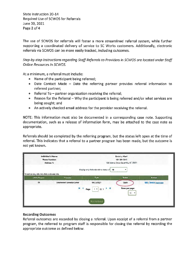**State Instruction 20-14 Required Use of SCWOS for Referrals** June 30, 2021 Page 2 of 4

The use of SCWOS for referrals will foster a more streamlined referral system, while further supporting a coordinated delivery of service to SC Works customers. Additionally, electronic referrals via SCWOS can be more easily tracked, including outcomes.

Step-by-step instructions regarding Staff Referrals to Providers in SCWOS are located under Staff **Online Resources in SCWOS.** 

At a minimum, a referral must include:

- Name of the participant being referred;
- Date Contact Made Date the referring partner provides referral information to referred partner;
- Referral To partner organization receiving the referral;
- Reason for the Referral Why the participant is being referred and/or what services are being sought: and
- An actively checked email address for the provider receiving the referral.

NOTE: This information must also be documented in a corresponding case note. Supporting documentation, such as a release of information form, may be attached to the case note as appropriate.

Referrals should be completed by the referring program, but the status left open at the time of referral. This indicates that a referral to a partner program has been made, but the outcome is not yet known.

| Individual's Name:<br>Phone Number:<br>Address 1:           |                                  | Einstein, Albert<br>164-564-5645<br>123 Science Drive Columbia, SC 29201 |                                                  |                            |
|-------------------------------------------------------------|----------------------------------|--------------------------------------------------------------------------|--------------------------------------------------|----------------------------|
| To sort on any column, click a column title.<br>LWIA/Region | Provider                         | Display only Referrals with a status of All<br>Date                      | <b>Status</b>                                    | <b>Action</b>              |
| <b>DS</b>                                                   | <b>Greenwood Genetics Center</b> | 04/05/2021<br><b>N. 4 Page</b><br>$\mathbf{v}$<br>O <sub>1</sub>         | Open<br>Rows per page:<br>$10 -$<br>$\mathbf{v}$ | Edit   Delete   Inactivate |
|                                                             |                                  | Add Referral                                                             |                                                  |                            |

### **Recording Outcomes**

Referral outcomes are recorded by closing a referral. Upon receipt of a referral from a partner program, the referred to program staff is responsible for closing the referral by recording the appropriate outcome as defined below.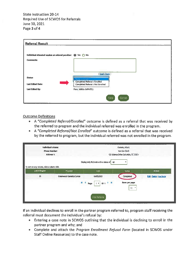State Instruction 20-14 **Required Use of SCWOS for Referrals** June 30, 2021 Page 3 of 4

| <b>Referral Result</b>                                        |                                                                                      |
|---------------------------------------------------------------|--------------------------------------------------------------------------------------|
| Individual attended session at referral provider: (@ Yes ( No |                                                                                      |
| <b>Comments:</b>                                              |                                                                                      |
|                                                               |                                                                                      |
| <b>Status:</b>                                                | Spell Check                                                                          |
| <b>Last Edited Date:</b>                                      | Nome Secreted.<br>Completed Referral / Enrolled<br>Completed Referral / Not Enrolled |
| <b>Last Edited By:</b>                                        | Patel Mildta (MPATEL)                                                                |
|                                                               | Cancel<br>Save                                                                       |

### **Outcome Definitions**

- A "Completed Referral/Enrolled" outcome is defined as a referral that was received by the referred to program and the individual referred was enrolled in the program.
- A "Completed Referral/Not Enrolled" outcome is defined as a referral that was received by the referred to program, but the individual referred was not enrolled in the program.

| Individual's Name:<br>Phone Number:<br>Address 1:                                                         |                                  |                                             | Einstein, Albert<br>164-564-5645<br>123 Science Drive Columbia, SC 29201 |                            |
|-----------------------------------------------------------------------------------------------------------|----------------------------------|---------------------------------------------|--------------------------------------------------------------------------|----------------------------|
|                                                                                                           |                                  | Display only Referrals with a status of Alt |                                                                          |                            |
| To sort on any column, click a column title.<br>LWIA/Region                                               | Provider                         | Date                                        | <b>Status</b>                                                            | Action                     |
| OS                                                                                                        | <b>Greenwood Genetics Center</b> | 04/05/2021                                  | Completed                                                                | Edit   Delete   Inactivate |
| 8 <sub>1</sub><br>$ol \rightarrow M$<br>Rows per page:<br>Page<br>$\rightarrow +$<br>$\blacksquare$<br>10 |                                  |                                             |                                                                          |                            |
|                                                                                                           |                                  | Add Referral                                |                                                                          |                            |

If an individual declines to enroll in the partner program referred to, program staff receiving the referral must document the individual's refusal by:

- Entering a case note in SCWOS outlining that the individual is declining to enroll in the partner program and why; and
- Complete and attach the Program Enrollment Refusal Form (located in SCWOS under Staff Online Resources) to the case note.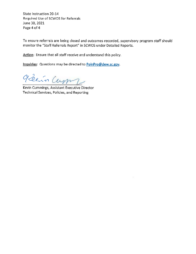**State Instruction 20-14** Required Use of SCWOS for Referrals June 30, 2021 Page 4 of 4

To ensure referrals are being closed and outcomes recorded, supervisory program staff should monitor the "Staff Referrals Report" in SCWOS under Detailed Reports.

Action: Ensure that all staff receive and understand this policy.

Inquiries: Questions may be directed to **PolnPro@dew.sc.gov.** 

Elin Camp

Kevin Cummings, Assistant Executive Director **Technical Services, Policies, and Reporting**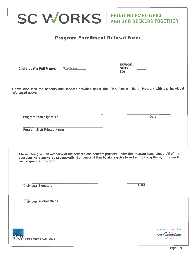| <b>SC WORKS</b> AND JOB SEEKERS TOGETHER                                                                                                    |                                                                                                                     |
|---------------------------------------------------------------------------------------------------------------------------------------------|---------------------------------------------------------------------------------------------------------------------|
| <b>Program Enrollment Refusal Form</b>                                                                                                      |                                                                                                                     |
|                                                                                                                                             |                                                                                                                     |
| <b>Individual's Full Name:</b><br><b>TYPE NAME</b>                                                                                          | <b>SCWOS</b><br><b>State</b><br>ID:                                                                                 |
| I have discussed the benefits and services provided under the TYPE PROGRAM NAME Program with the individual<br>referenced above.            |                                                                                                                     |
| Program Staff Signature                                                                                                                     | Date                                                                                                                |
| Program Staff Printed Name                                                                                                                  |                                                                                                                     |
| I have been given an overview of the services and benefits provided under the Program listed above. All of my<br>the program, at this time. | questions were answered satisfactorily. I understand that by signing this form I am refusing the right to enroll in |
| <b>Individual Signature</b>                                                                                                                 | Date                                                                                                                |
| <b>Individual Printed Name</b>                                                                                                              |                                                                                                                     |
|                                                                                                                                             |                                                                                                                     |

**C**CM, Last Edited 06/25/2021

A proud partner of the

AmericanJobCenter network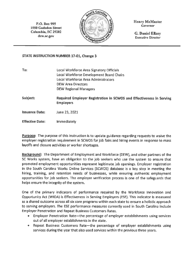P.O. Box 995 **1550 Gadsden Street** Columbia, SC 29202 dew.sc.gov



**Henry McMaster Governor** 

**G. Daniel Ellzey Executive Director** 

### **STATE INSTRUCTION NUMBER 17-01, Change 3**

| To:                    | Local Workforce Area Signatory Officials<br><b>Local Workforce Development Board Chairs</b><br><b>Local Workforce Area Administrators</b><br><b>DEW Area Directors</b><br><b>DEW Regional Managers</b> |
|------------------------|--------------------------------------------------------------------------------------------------------------------------------------------------------------------------------------------------------|
| Subject:               | Required Employer Registration in SCWOS and Effectiveness in Serving<br><b>Employers</b>                                                                                                               |
| <b>Issuance Date:</b>  | June 23, 2021                                                                                                                                                                                          |
| <b>Effective Date:</b> | <b>Immediately</b>                                                                                                                                                                                     |

**Purpose:** The purpose of this instruction is to update guidance regarding requests to waive the employer registration requirement in SCWOS for job fairs and hiring events in response to mass layoffs and closure activities or worker shortages.

Background: The Department of Employment and Workforce (DEW), and other partners of the SC Works system, have an obligation to the job seekers who use the system to ensure that promoted employment opportunities represent legitimate job openings. Employer registration in the South Carolina Works Online Services (SCWOS) database is a key step in meeting the hiring, training, and retention needs of businesses, while ensuring authentic employment opportunities for job seekers. The employer verification process is one of the safeguards that helps ensure the integrity of the system.

One of the primary indicators of performance required by the Workforce Innovation and Opportunity Act (WIOA) is Effectiveness in Serving Employers (ESE). This indicator is measured as a shared outcome across all six core programs within each state to ensure a holistic approach to serving employers. The ESE performance measures currently used in South Carolina include **Employer Penetration and Repeat Business Customers Rates.** 

- Employer Penetration Rate-the percentage of employer establishments using services out of all employer establishments in the state.
- Repeat Business Customers Rate-the percentage of employer establishments using services during the year that also used services within the previous three years.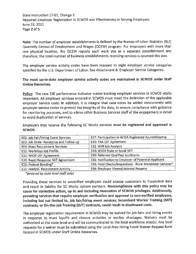State Instruction 17-01, Change 3 Required Employer Registration in SCWOS and Effectiveness in Serving Employers June 23, 2021 Page 2 of 5

Note: The number of employer establishments is defined by the Bureau of Labor Statistics (BLS) Quarterly Census of Employment and Wages (QCEW) program. For employers with more than one physical location, the QCEW reports each work site as a separate establishment and therefore, the total number of business establishments receiving services is counted this way.

The employer service activity codes have been mapped to eight employer service categories specified by the U.S. Department of Labor. See Attachment B: Employer Service Categories.

The most up-to-date employer service activity codes are maintained in SCWOS under Staff **Online Resources.** 

Policy: The new ESE performance indicator makes tracking employer services in SCWOS vitally important. All employer services entered in SCWOS must meet the definition of the applicable employer service code. In addition, it is integral that case notes be added concurrently with employer service codes to protect the integrity of the data, to ensure compliance with guidance for monitoring purposes, and to advise other Business Services staff of the engagement in detail to avoid duplication of services.

Employers that receive the following SC Works services must be registered and approved in SCWOS:

| E02: Job Fair/Hiring Event Services      | E27: Participation in WIOA Registered Apprenticeship     |
|------------------------------------------|----------------------------------------------------------|
| E03: Job Order Assistance and Follow-up  | E30: TAA OJT Agreement                                   |
| <b>E04: Mass Recruitment Services</b>    | E32: WIN Job Analysis                                    |
| E12: WorkKeys Job Profile                | E40: WIOA State or Local IWT                             |
| E13: WIOA OJT Agreement                  | <b>E90: Referred Qualified Applicants</b>                |
| E20: Rapid Response IWT Agreement        | E92: Notification to Employer of Potential Applicant     |
| E23: Federal Bonding*                    | E93: Field Checks/Inspections - Rural Manpower Services* |
| <b>E25: readySC Recruitment Activity</b> | E94: Employer Viewed Internal Resume                     |

\*(entered by state level staff only)

Providing these services to unverified employers could expose customers to fraudulent data and result in liability for SC Works system partners. Noncompliance with this policy may be cause for corrective action, up to and including revocation of SCWOS privileges. Additionally, providing services that require employer verification and approval to non-verified employers, including but not limited to, job fair/hiring event services, Incumbent Worker Training (IWT) contracts, or On-the-Job Training (OJT) contracts, could result in disallowed costs.

The employer registration requirement in SCWOS may be waived for job fairs and hiring events in response to mass layoffs and closure activities or worker shortages. Waivers must be authorized at the state level and will be communicated to the local workforce area(s). Any local requests for a waiver must be submitted using the Local Area Hiring Event Waiver Request form located in SCWOS under Staff Online Resources.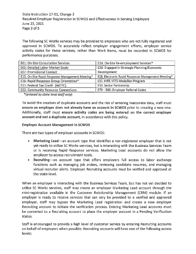State Instruction 17-01, Change 3 Required Employer Registration in SCWOS and Effectiveness in Serving Employers June 23, 2021 Page 3 of 5

The following SC Works services may be provided to employers who are not fully registered and approved in SCWOS. To accurately reflect employer engagement efforts, employer service activity codes for these services, rather than Work Items, must be recorded in SCWOS for performance purposes.

| <b>E01: On-Site Consultation Services</b>       | E24: On-Site Re-employment Services*                      |
|-------------------------------------------------|-----------------------------------------------------------|
| <b>E05: Detailed Labor Market Study</b>         | E26: Engaged in Strategic Planning/Economic               |
| <b>E07: Promotional Contact</b>                 | <b>Development</b>                                        |
| E15: On-Site Rapid Response Management Meeting* | <b>E28: Electronic Rapid Response Management Meeting*</b> |
| E16: Rapid Response Group Orientation*          | <b>E31: HIRE VETS Medallion Program</b>                   |
| <b>E21: Federal Tax Credit (WOTC)</b>           | <b>E33: Sector Partnership</b>                            |
| <b>E22: Community Resource Connections</b>      | E70 - E80: Employer Referral Codes                        |

\*(entered by state level staff only)

To avoid the creation of duplicate accounts and the risk of entering inaccurate data, staff must ensure an employer does not already have an account in SCWOS prior to creating a new one. Additionally, staff must ensure activity codes are being entered on the correct employer account and not a duplicate account, in accordance with this policy.

### **Employer Account Management in SCWOS**

There are two types of employer accounts in SCWOS:

- Marketing Lead—an account type that identifies a non-registered employer that is not yet ready to utilize SC Works services, but is interacting with the Business Services Team or is receiving Rapid Response services. Marketing Lead accounts do not allow the employer to access recruitment tools.
- Recruiting-an account type that offers employers full access to labor exchange functions such as managing job orders, reviewing candidate resumes, and managing virtual recruiter alerts. Employer Recruiting accounts must be verified and approved at the state-level.

When an employer is interacting with the Business Services Team, but has not yet decided to utilize SC Works services, staff may create an employer Marketing Lead account through the mini-registration available in the Customer Relationship Management (CRM) module. If an employer is ready to receive services that can only be provided to a verified and approved employer, staff may bypass the Marketing Lead registration and create a new employer Recruiting account to initiate the verification process. Existing Marketing Lead accounts must be converted to a Recruiting account to place the employer account in a Pending Verification status.

Staff is encouraged to provide a high level of customer service by entering Recruiting accounts on behalf of employers when possible. Recruiting accounts will have one of the following access levels: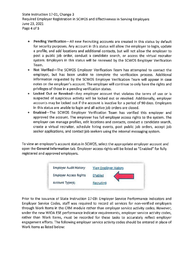State Instruction 17-01, Change 3 Required Employer Registration in SCWOS and Effectiveness in Serving Employers June 23, 2021 Page 4 of 5

- . Pending Verification-All new Recruiting accounts are created in this status by default for security purposes. Any account in this status will allow the employer to login, update a profile, and add locations and additional contacts, but will not allow the employer to post a public job order, conduct a candidate search, or access the virtual recruiter system. Employers in this status will be reviewed by the SCWOS Employer Verification Team.
- Not Verified-The SCWOS Employer Verification Team has attempted to contact the employer, but has been unable to complete the verification process. Additional information requested by the SCWOS Employer Verification Team will appear in case notes on the employer's account. The employer will continue to only have the rights and privileges of those in a pending verification status.
- Lacked Out or Revoked-Any employer account that violates the terms of use or is suspected of suspicious activity will be locked out or revoked. Additionally, employer accounts may be locked out if the account is inactive for a period of 90 days. Employers in this status are unable to login and all active job orders are closed.
- Enabled-The SCWOS Employer Verification Team has verified this employer and approved the account. The employer has full employer access rights to the system. The employer can manage profiles, edit locations and contacts, conduct a candidate search, create a virtual recruiter, schedule hiring events, post public job orders, accept job seeker applications, and contact job seekers using the internal messaging system.

To view an employer's account status in SCWOS, select the appropriate employer account and open the General Information tab. Employer access rights will be listed as "Enabled" for fully registered and approved employers.



Prior to the issuance of State Instruction 17-09: Employer Service Performance Indicators and Employer Service Codes, staff was required to record all services for non-verified employers through Work Items in the CRM module rather than employer service activity codes. However, under the new WIOA ESE performance indicator requirements, employer service activity codes, rather than Work Items, must be recorded for these tasks to accurately reflect employer engagement efforts. The following employer service activity codes should be entered in place of Work Items as listed below: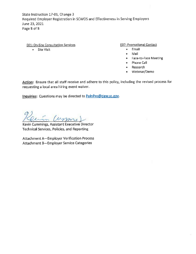State Instruction 17-01, Change 3 Required Employer Registration in SCWOS and Effectiveness in Serving Employers June 23, 2021 Page 5 of 5

**E01: On-Site Consultation Services** 

• Site Visit

**E07: Promotional Contact** 

- $\bullet$ **Email**
- Mail  $\bullet$
- · Face-to-Face Meeting
- Phone Call
- Research
- Webinar/Demo

Action: Ensure that all staff receive and adhere to this policy, including the revised process for requesting a local area hiring event waiver.

Inquiries: Questions may be directed to PolnPro@dew.sc.gov.

n Cum

Kevin Cummings, Assistant Executive Director **Technical Services, Policies, and Reporting** 

Attachment A-Employer Verification Process Attachment B-Employer Service Categories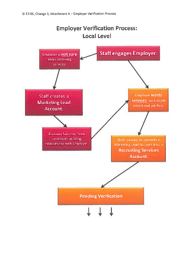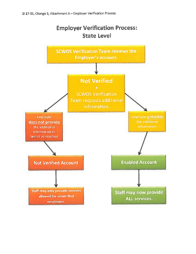

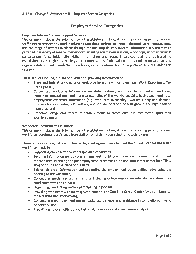### **Employer Service Categories**

#### **Employer Information and Support Services**

This category includes the total number of establishments that, during the reporting period, received staff-assisted services designed to educate them about and engage them in the local job market/economy and the range of services available through the one-stop delivery system. Information services may be provided in a variety of service interventions including orientation sessions, workshops, or other business consultations (e.g., initial site visits). Information and support services that are delivered to establishments through mass mailings or communications, "cold" calling or other follow-up contacts, and regular establishment newsletters, brochures, or publications are not reportable services under this category.

These services include, but are not limited to, providing information on:

- State and federal tax credits or workforce investment incentives (e.g., Work Opportunity Tax  $\bullet$  . Credit [WOTC]);
- Customized workforce information on state, regional, and local labor market conditions, industries, occupations, and the characteristics of the workforce, skills businesses need, local employment dynamics information (e.g., workforce availability), worker supply and demand, business turnover rates, job creation, and job identification of high growth and high demand industries; and
- . Proactive linkage and referral of establishments to community resources that support their workforce needs.

#### **Workforce Recruitment Assistance**

This category includes the total number of establishments that, during the reporting period, received workforce recruitment assistance from staff or remotely through electronic technologies.

These services include, but are not limited to, assisting employers to meet their human capital and skilled workforce needs by:

- Supporting employers' search for qualified candidates;
- Securing information on job requirements and providing employers with one-stop staff support for candidate screening and pre-employment interviews at the one-stop career center (or affiliate site) or on site at the place of business;
- Taking job order information and promoting the employment opportunities (advertising the opening to the workforce);
- Conducting special recruitment efforts including out-of-area or out-of-state recruitment for candidates with special skills;
- Organizing, conducting, and/or participating in job fairs;
- Providing employers with meeting/work space at the One-Stop Career Center (or an affiliate site) for screening and interviewing;
- Conducting pre-employment testing, background checks, and assistance in completion of the I-9 paperwork; and
- Providing employer with job and task analysis services and absenteeism analysis.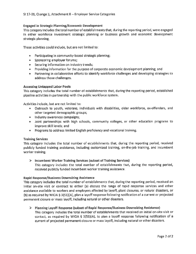#### **Engaged in Strategic Planning/Economic Development**

This category includes the total number of establishments that, during the reporting period, were engaged in either workforce investment strategic planning or business growth and economic development strategic planning.

These activities could include, but are not limited to:

- Participating in community-based strategic planning;
- Sponsoring employer forums;
- Securing information on industry trends;
- Providing information for the purpose of corporate economic development planning; and
- Partnering in collaborative efforts to identify workforce challenges and developing strategies to address those challenges.

#### **Accessing Untapped Labor Pools**

This category includes the total number of establishments that, during the reporting period, established pipeline activities in partnership with the public workforce system.

Activities include, but are not limited to:

- Outreach to youth, veterans, individuals with disabilities, older workforce, ex-offenders, and other targeted demographic groups;
- · Industry awareness campaigns;
- Joint partnerships with high schools, community colleges, or other education programs to improve skill levels; and
- Programs to address limited English proficiency and vocational training.

#### **Training Services**

This category includes the total number of establishments that, during the reporting period, received publicly funded training assistance, including customized training, on-the-job training, and incumbent worker training.

#### $\triangleright$  Incumbent Worker Training Services (subset of Training Services)

This category includes the total number of establishments that, during the reporting period, received publicly funded incumbent worker training assistance.

#### **Rapid Response/Business Downsizing Assistance**

This category includes the total number of establishments that, during the reporting period, received an initial on-site visit or contract to either (a) discuss the range of rapid response services and other assistance available to workers and employers affected by layoff, plant closures, or natural disasters, or (b) as required by WIOA § 3(51)(A), plan a layoff response following notification of a current or projected permanent closure or mass layoff, including natural or other disasters.

#### $\triangleright$  Planning Layoff Response (subset of Rapid Response/Business Downsizing Assistance)

This category includes the total number of establishments that received an initial on-site visit or contact, as required by WIOA § 3(51)(A), to plan a layoff response following notification of a current of projected permanent closure or mass layoff, including natural or other disasters.